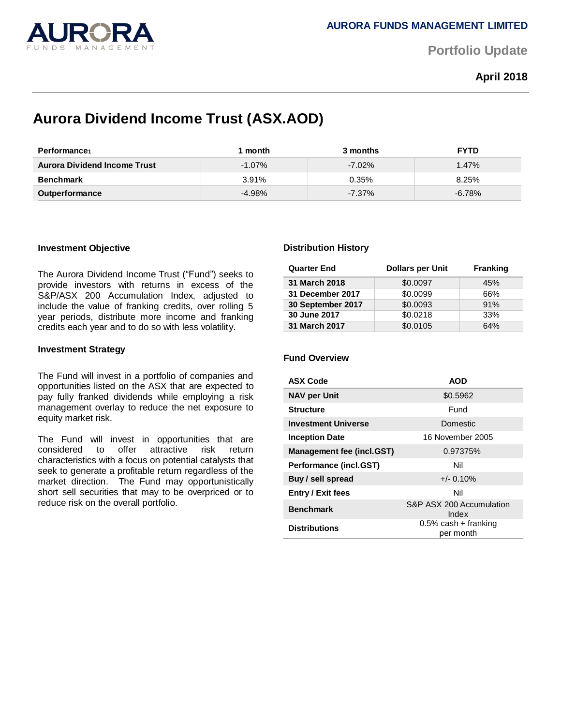

**Portfolio Update** 

**April 2018**

# **Aurora Dividend Income Trust (ASX.AOD)**

| Performance                  | 1 month   | 3 months  | <b>FYTD</b> |
|------------------------------|-----------|-----------|-------------|
| Aurora Dividend Income Trust | $-1.07\%$ | $-7.02\%$ | 1.47%       |
| <b>Benchmark</b>             | 3.91%     | 0.35%     | 8.25%       |
| <b>Outperformance</b>        | $-4.98%$  | $-7.37\%$ | $-6.78\%$   |

# **Investment Objective**

The Aurora Dividend Income Trust ("Fund") seeks to provide investors with returns in excess of the S&P/ASX 200 Accumulation Index, adjusted to include the value of franking credits, over rolling 5 year periods, distribute more income and franking credits each year and to do so with less volatility.

### **Investment Strategy**

The Fund will invest in a portfolio of companies and opportunities listed on the ASX that are expected to pay fully franked dividends while employing a risk management overlay to reduce the net exposure to equity market risk.

The Fund will invest in opportunities that are considered to offer attractive risk return characteristics with a focus on potential catalysts that seek to generate a profitable return regardless of the market direction. The Fund may opportunistically short sell securities that may to be overpriced or to reduce risk on the overall portfolio.

# **Distribution History**

| <b>Quarter End</b> | <b>Dollars per Unit</b> | <b>Franking</b> |
|--------------------|-------------------------|-----------------|
| 31 March 2018      | \$0.0097                | 45%             |
| 31 December 2017   | \$0.0099                | 66%             |
| 30 September 2017  | \$0.0093                | 91%             |
| 30 June 2017       | \$0.0218                | 33%             |
| 31 March 2017      | \$0.0105                | 64%             |

# **Fund Overview**

| <b>ASX Code</b>                  | <b>AOD</b>                           |
|----------------------------------|--------------------------------------|
| <b>NAV per Unit</b>              | \$0.5962                             |
| <b>Structure</b>                 | Fund                                 |
| <b>Investment Universe</b>       | Domestic                             |
| <b>Inception Date</b>            | 16 November 2005                     |
| <b>Management fee (incl.GST)</b> | 0.97375%                             |
| Performance (incl.GST)           | Nil                                  |
| Buy / sell spread                | $+/- 0.10\%$                         |
| <b>Entry / Exit fees</b>         | Nil                                  |
| <b>Benchmark</b>                 | S&P ASX 200 Accumulation<br>Index    |
| <b>Distributions</b>             | $0.5\%$ cash + franking<br>per month |